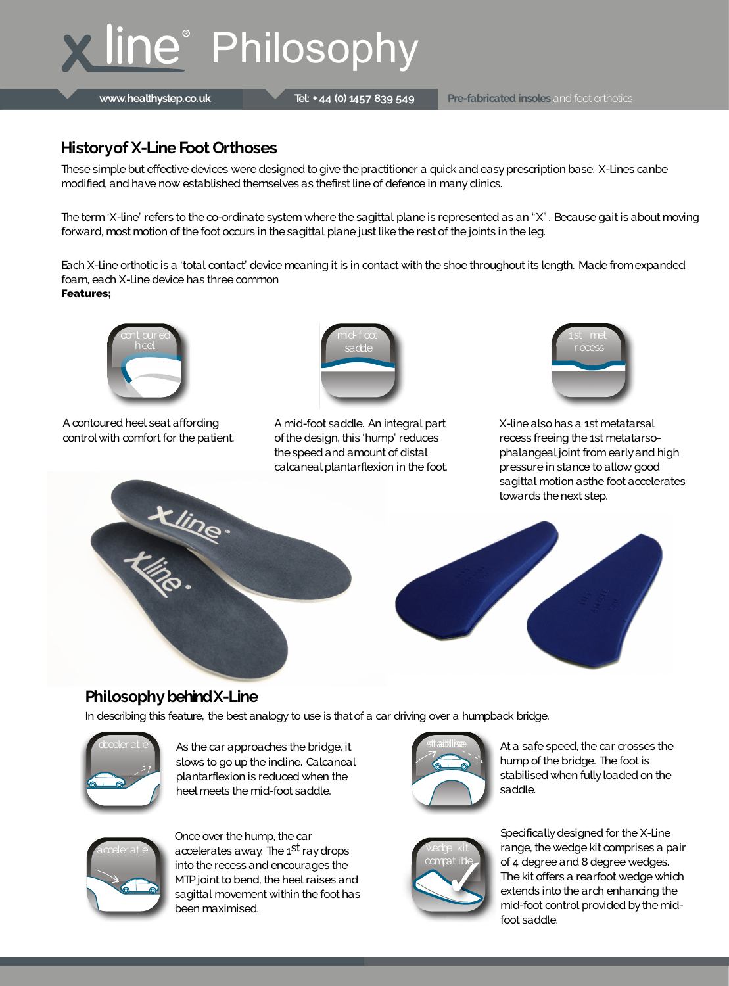# **X line® Philosophy**

**www.healthystep.co.uk Tel: + 44 (0) 1457 839 549 Pre-fabricated insoles** and foot orthotics

Specifically designed for the X-Line range, the wedge kit comprises a pair of 4 degree and 8 degree wedges. The kit offers a rearfoot wedge which extends into the arch enhancing the mid-foot control provided by the midfoot saddle.

As the car approaches the bridge, it slows to go up the incline. Calcaneal plantarflexion is reduced when the heel meets the mid-foot saddle.

A contoured heel seat affording control with comfort for the patient. X-line also has a 1st metatarsal recess freeing the 1st metatarsophalangeal joint from early and high pressure in stance to allow good sagittal motion asthe foot accelerates



### **Philosophy behind X-Line**

In describing this feature, the best analogy to use is that of a car driving over a humpback bridge.

A mid-foot saddle. An integral part of the design, this 'hump' reduces the speed and amount of distal calcaneal plantarflexion in the foot.

Each X-Line orthotic is a 'total contact' device meaning it is in contact with the shoe throughout its length. Made from expanded foam, each X-Line device has three common **Features;**









acceler at e vecderates away. The 1<sup>st</sup> ray drops wedge kit Once over the hump, the car into the recess and encourages the MTP joint to bend, the heel raises and sagittal movement within the foot has been maximised.



At a safe speed, the car crosses the hump of the bridge. The foot is stabilised when fully loaded on the saddle.



#### **Historyof X-Line Foot Orthoses**

These simple but effective devices were designed to give the practitioner a quick and easy prescription base. X-Lines canbe modified, and have now established themselves as thefirst line of defence in many clinics.

The term 'X-line' refers to the co-ordinate system where the sagittal plane is represented as an "X". Because gait is about moving forward, most motion of the foot occurs in the sagittal plane just like the rest of the joints in the leg.